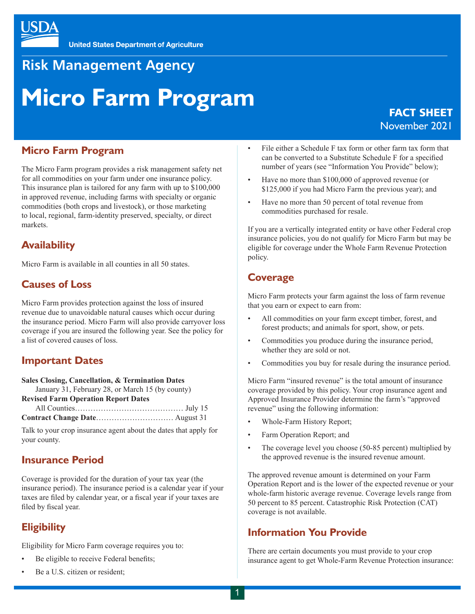

# **Risk Management Agency**

# **Micro Farm Program**

## FACT SHEET November 2021

#### **Micro Farm Program**

The Micro Farm program provides a risk management safety net for all commodities on your farm under one insurance policy. This insurance plan is tailored for any farm with up to \$100,000 in approved revenue, including farms with specialty or organic commodities (both crops and livestock), or those marketing to local, regional, farm-identity preserved, specialty, or direct markets.

#### **Availability**

Micro Farm is available in all counties in all 50 states.

#### **Causes of Loss**

Micro Farm provides protection against the loss of insured revenue due to unavoidable natural causes which occur during the insurance period. Micro Farm will also provide carryover loss coverage if you are insured the following year. See the policy for a list of covered causes of loss.

#### **Important Dates**

**Sales Closing, Cancellation, & Termination Dates** January 31, February 28, or March 15 (by county) **Revised Farm Operation Report Dates** All Counties…………………………………… July 15 **Contract Change Date**………………………… August 31

Talk to your crop insurance agent about the dates that apply for your county.

#### **Insurance Period**

Coverage is provided for the duration of your tax year (the insurance period). The insurance period is a calendar year if your taxes are filed by calendar year, or a fiscal year if your taxes are filed by fiscal year.

## **Eligibility**

Eligibility for Micro Farm coverage requires you to:

- Be eligible to receive Federal benefits;
- Be a U.S. citizen or resident;
- File either a Schedule F tax form or other farm tax form that can be converted to a Substitute Schedule F for a specified number of years (see "Information You Provide" below);
- Have no more than \$100,000 of approved revenue (or \$125,000 if you had Micro Farm the previous year); and
- Have no more than 50 percent of total revenue from commodities purchased for resale.

If you are a vertically integrated entity or have other Federal crop insurance policies, you do not qualify for Micro Farm but may be eligible for coverage under the Whole Farm Revenue Protection policy.

#### **Coverage**

Micro Farm protects your farm against the loss of farm revenue that you earn or expect to earn from:

- All commodities on your farm except timber, forest, and forest products; and animals for sport, show, or pets.
- Commodities you produce during the insurance period, whether they are sold or not.
- Commodities you buy for resale during the insurance period.

Micro Farm "insured revenue" is the total amount of insurance coverage provided by this policy. Your crop insurance agent and Approved Insurance Provider determine the farm's "approved revenue" using the following information:

- Whole-Farm History Report;
- Farm Operation Report; and
- The coverage level you choose (50-85 percent) multiplied by the approved revenue is the insured revenue amount.

The approved revenue amount is determined on your Farm Operation Report and is the lower of the expected revenue or your whole-farm historic average revenue. Coverage levels range from 50 percent to 85 percent. Catastrophic Risk Protection (CAT) coverage is not available.

#### **Information You Provide**

There are certain documents you must provide to your crop insurance agent to get Whole-Farm Revenue Protection insurance: